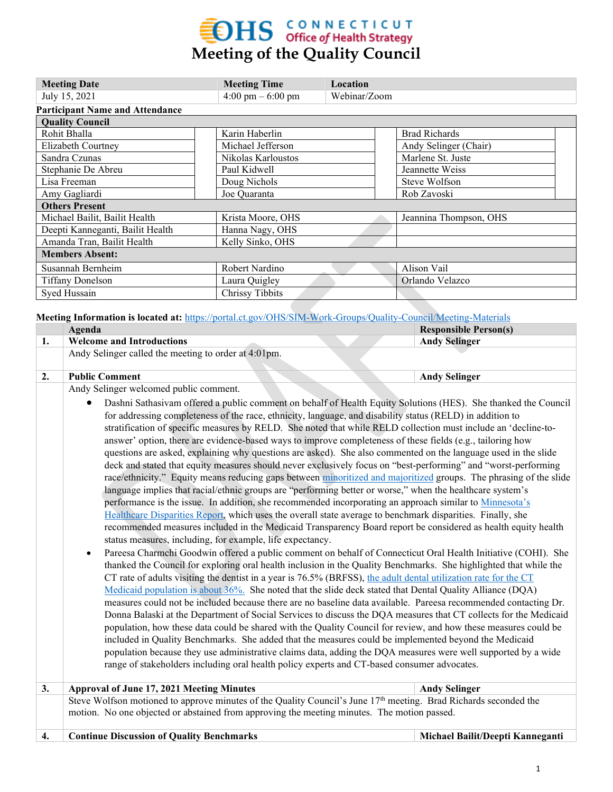## $\textbf{H}\mathbf{S}$  CONNECTICUT **Meeting of the Quality Council**

| <b>Meeting Date</b>                    | <b>Meeting Time</b>                 | Location     |                        |  |  |  |  |  |  |
|----------------------------------------|-------------------------------------|--------------|------------------------|--|--|--|--|--|--|
| July 15, 2021                          | $4:00 \text{ pm} - 6:00 \text{ pm}$ | Webinar/Zoom |                        |  |  |  |  |  |  |
| <b>Participant Name and Attendance</b> |                                     |              |                        |  |  |  |  |  |  |
| <b>Quality Council</b>                 |                                     |              |                        |  |  |  |  |  |  |
| Rohit Bhalla                           | Karin Haberlin                      |              | <b>Brad Richards</b>   |  |  |  |  |  |  |
| Elizabeth Courtney                     | Michael Jefferson                   |              | Andy Selinger (Chair)  |  |  |  |  |  |  |
| Sandra Czunas                          | Nikolas Karloustos                  |              | Marlene St. Juste      |  |  |  |  |  |  |
| Stephanie De Abreu                     | Paul Kidwell                        |              | Jeannette Weiss        |  |  |  |  |  |  |
| Lisa Freeman                           | Doug Nichols                        |              | Steve Wolfson          |  |  |  |  |  |  |
| Amy Gagliardi                          | Joe Quaranta                        |              | Rob Zavoski            |  |  |  |  |  |  |
| <b>Others Present</b>                  |                                     |              |                        |  |  |  |  |  |  |
| Michael Bailit, Bailit Health          | Krista Moore, OHS                   |              | Jeannina Thompson, OHS |  |  |  |  |  |  |
| Deepti Kanneganti, Bailit Health       | Hanna Nagy, OHS                     |              |                        |  |  |  |  |  |  |
| Amanda Tran, Bailit Health             | Kelly Sinko, OHS                    |              |                        |  |  |  |  |  |  |
| <b>Members Absent:</b>                 |                                     |              |                        |  |  |  |  |  |  |
| Susannah Bernheim                      | Robert Nardino                      |              | Alison Vail            |  |  |  |  |  |  |
| <b>Tiffany Donelson</b>                | Laura Quigley                       |              | Orlando Velazco        |  |  |  |  |  |  |
| Syed Hussain                           | Chrissy Tibbits                     |              |                        |  |  |  |  |  |  |

**Meeting Information is located at:** <https://portal.ct.gov/OHS/SIM-Work-Groups/Quality-Council/Meeting-Materials>

|    | Agenda                                               |  | <b>Responsible Person(s)</b> |  |
|----|------------------------------------------------------|--|------------------------------|--|
|    | <b>Welcome and Introductions</b>                     |  | <b>Andy Selinger</b>         |  |
|    | Andy Selinger called the meeting to order at 4:01pm. |  |                              |  |
|    |                                                      |  |                              |  |
| ٠. | <b>Public Comment</b>                                |  | <b>Andy Selinger</b>         |  |
|    | .<br>.                                               |  |                              |  |

Andy Selinger welcomed public comment.

- Dashni Sathasivam offered a public comment on behalf of Health Equity Solutions (HES). She thanked the Council for addressing completeness of the race, ethnicity, language, and disability status (RELD) in addition to stratification of specific measures by RELD. She noted that while RELD collection must include an 'decline-toanswer' option, there are evidence-based ways to improve completeness of these fields (e.g., tailoring how questions are asked, explaining why questions are asked). She also commented on the language used in the slide deck and stated that equity measures should never exclusively focus on "best-performing" and "worst-performing race/ethnicity." Equity means reducing gaps between [minoritized and majoritized](https://www.ywboston.org/wp-content/uploads/2016/02/MISS_VIT_BLD-SUPP-FOR-MISS_TRN-AND-DEVEL_SJ-GLOSSARY_MARCH_2016.pdf) groups. The phrasing of the slide language implies that racial/ethnic groups are "performing better or worse," when the healthcare system's performance is the issue. In addition, she recommended incorporating an approach similar to [Minnesota's](https://mncmsecure.org/website/Reports/Community%20Reports/Disparities%20by%20RELC/2019%20Disparities%20by%20RELC%20Chartbook%20-%20FINAL.pdf)  [Healthcare Disparities Report,](https://mncmsecure.org/website/Reports/Community%20Reports/Disparities%20by%20RELC/2019%20Disparities%20by%20RELC%20Chartbook%20-%20FINAL.pdf) which uses the overall state average to benchmark disparities. Finally, she recommended measures included in the Medicaid Transparency Board report be considered as health equity health status measures, including, for example, life expectancy.
- Pareesa Charmchi Goodwin offered a public comment on behalf of Connecticut Oral Health Initiative (COHI). She thanked the Council for exploring oral health inclusion in the Quality Benchmarks. She highlighted that while the CT rate of adults visiting the dentist in a year is 76.5% (BRFSS), [the adult dental utilization rate for the CT](https://www.cga.ct.gov/ph/med/related/20190106_Council%20Meetings%20&%20Presentations/20200110/Benecare%20Report.pdf)  [Medicaid population is about 36%.](https://www.cga.ct.gov/ph/med/related/20190106_Council%20Meetings%20&%20Presentations/20200110/Benecare%20Report.pdf) She noted that the slide deck stated that Dental Quality Alliance (DQA) measures could not be included because there are no baseline data available. Pareesa recommended contacting Dr. Donna Balaski at the Department of Social Services to discuss the DQA measures that CT collects for the Medicaid population, how these data could be shared with the Quality Council for review, and how these measures could be included in Quality Benchmarks. She added that the measures could be implemented beyond the Medicaid population because they use administrative claims data, adding the DQA measures were well supported by a wide range of stakeholders including oral health policy experts and CT-based consumer advocates.

**3. Approval of June 17, 2021 Meeting Minutes Andy Selinger Andy Selinger** Steve Wolfson motioned to approve minutes of the Quality Council's June  $17<sup>th</sup>$  meeting. Brad Richards seconded the motion. No one objected or abstained from approving the meeting minutes. The motion passed. **4. Continue Discussion of Quality Benchmarks Michael Bailit/Deepti Kanneganti**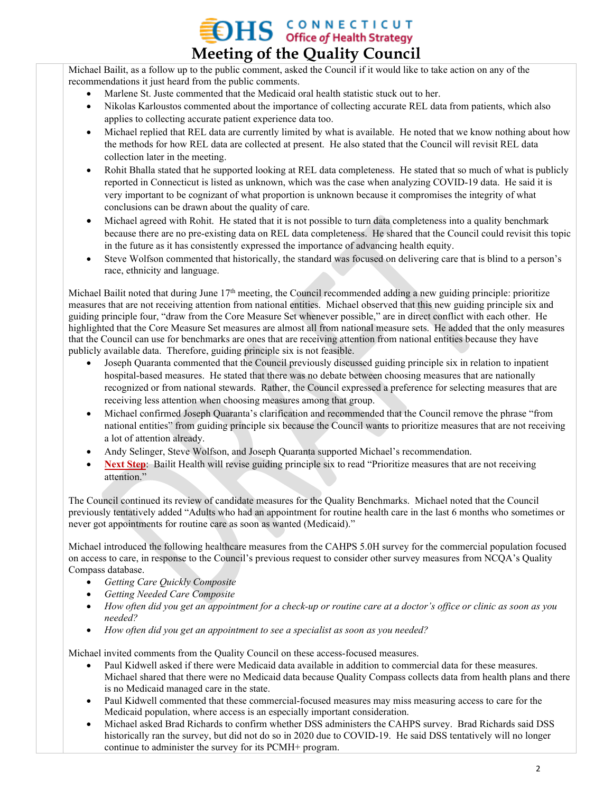### **OHS GONNECTICUT Meeting of the Quality Council**

Michael Bailit, as a follow up to the public comment, asked the Council if it would like to take action on any of the recommendations it just heard from the public comments.

- Marlene St. Juste commented that the Medicaid oral health statistic stuck out to her.
- Nikolas Karloustos commented about the importance of collecting accurate REL data from patients, which also applies to collecting accurate patient experience data too.
- Michael replied that REL data are currently limited by what is available. He noted that we know nothing about how the methods for how REL data are collected at present. He also stated that the Council will revisit REL data collection later in the meeting.
- Rohit Bhalla stated that he supported looking at REL data completeness. He stated that so much of what is publicly reported in Connecticut is listed as unknown, which was the case when analyzing COVID-19 data. He said it is very important to be cognizant of what proportion is unknown because it compromises the integrity of what conclusions can be drawn about the quality of care.
- Michael agreed with Rohit. He stated that it is not possible to turn data completeness into a quality benchmark because there are no pre-existing data on REL data completeness. He shared that the Council could revisit this topic in the future as it has consistently expressed the importance of advancing health equity.
- Steve Wolfson commented that historically, the standard was focused on delivering care that is blind to a person's race, ethnicity and language.

Michael Bailit noted that during June  $17<sup>th</sup>$  meeting, the Council recommended adding a new guiding principle: prioritize measures that are not receiving attention from national entities. Michael observed that this new guiding principle six and guiding principle four, "draw from the Core Measure Set whenever possible," are in direct conflict with each other. He highlighted that the Core Measure Set measures are almost all from national measure sets. He added that the only measures that the Council can use for benchmarks are ones that are receiving attention from national entities because they have publicly available data. Therefore, guiding principle six is not feasible.

- Joseph Quaranta commented that the Council previously discussed guiding principle six in relation to inpatient hospital-based measures. He stated that there was no debate between choosing measures that are nationally recognized or from national stewards. Rather, the Council expressed a preference for selecting measures that are receiving less attention when choosing measures among that group.
- Michael confirmed Joseph Quaranta's clarification and recommended that the Council remove the phrase "from national entities" from guiding principle six because the Council wants to prioritize measures that are not receiving a lot of attention already.
- Andy Selinger, Steve Wolfson, and Joseph Quaranta supported Michael's recommendation.
- **Next Step**: Bailit Health will revise guiding principle six to read "Prioritize measures that are not receiving attention."

The Council continued its review of candidate measures for the Quality Benchmarks. Michael noted that the Council previously tentatively added "Adults who had an appointment for routine health care in the last 6 months who sometimes or never got appointments for routine care as soon as wanted (Medicaid)."

Michael introduced the following healthcare measures from the CAHPS 5.0H survey for the commercial population focused on access to care, in response to the Council's previous request to consider other survey measures from NCQA's Quality Compass database.

- *Getting Care Quickly Composite*
- *Getting Needed Care Composite*
- *How often did you get an appointment for a check-up or routine care at a doctor's office or clinic as soon as you needed?*
- *How often did you get an appointment to see a specialist as soon as you needed?*

Michael invited comments from the Quality Council on these access-focused measures.

- Paul Kidwell asked if there were Medicaid data available in addition to commercial data for these measures. Michael shared that there were no Medicaid data because Quality Compass collects data from health plans and there is no Medicaid managed care in the state.
- Paul Kidwell commented that these commercial-focused measures may miss measuring access to care for the Medicaid population, where access is an especially important consideration.
- Michael asked Brad Richards to confirm whether DSS administers the CAHPS survey. Brad Richards said DSS historically ran the survey, but did not do so in 2020 due to COVID-19. He said DSS tentatively will no longer continue to administer the survey for its PCMH+ program.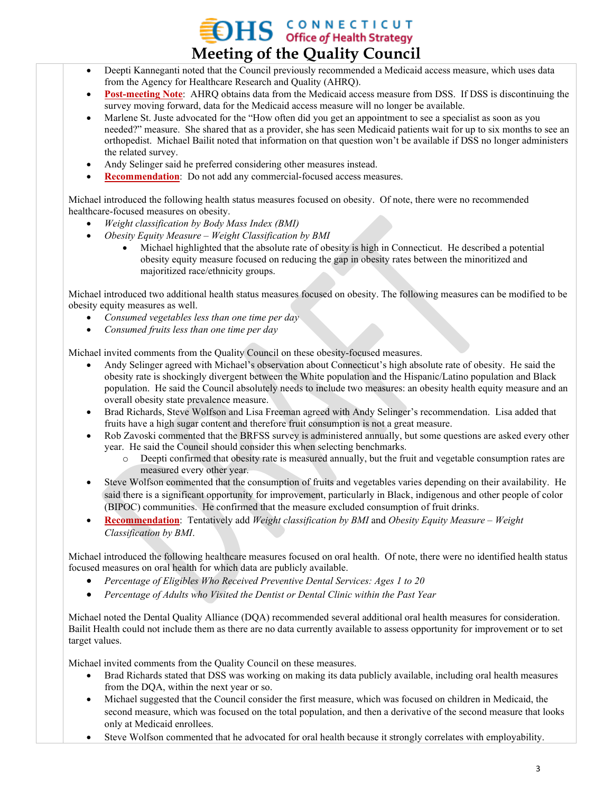## **OHS** CONNECTICUT **Meeting of the Quality Council**

- Deepti Kanneganti noted that the Council previously recommended a Medicaid access measure, which uses data from the Agency for Healthcare Research and Quality (AHRQ).
- **Post-meeting Note**: AHRQ obtains data from the Medicaid access measure from DSS. If DSS is discontinuing the survey moving forward, data for the Medicaid access measure will no longer be available.
- Marlene St. Juste advocated for the "How often did you get an appointment to see a specialist as soon as you needed?" measure. She shared that as a provider, she has seen Medicaid patients wait for up to six months to see an orthopedist. Michael Bailit noted that information on that question won't be available if DSS no longer administers the related survey.
- Andy Selinger said he preferred considering other measures instead.
- **Recommendation**: Do not add any commercial-focused access measures.

Michael introduced the following health status measures focused on obesity. Of note, there were no recommended healthcare-focused measures on obesity.

- *Weight classification by Body Mass Index (BMI)*
- *Obesity Equity Measure – Weight Classification by BMI*
	- Michael highlighted that the absolute rate of obesity is high in Connecticut. He described a potential obesity equity measure focused on reducing the gap in obesity rates between the minoritized and majoritized race/ethnicity groups.

Michael introduced two additional health status measures focused on obesity. The following measures can be modified to be obesity equity measures as well.

- *Consumed vegetables less than one time per day*
- *Consumed fruits less than one time per day*

Michael invited comments from the Quality Council on these obesity-focused measures.

- Andy Selinger agreed with Michael's observation about Connecticut's high absolute rate of obesity. He said the obesity rate is shockingly divergent between the White population and the Hispanic/Latino population and Black population. He said the Council absolutely needs to include two measures: an obesity health equity measure and an overall obesity state prevalence measure.
- Brad Richards, Steve Wolfson and Lisa Freeman agreed with Andy Selinger's recommendation. Lisa added that fruits have a high sugar content and therefore fruit consumption is not a great measure.
- Rob Zavoski commented that the BRFSS survey is administered annually, but some questions are asked every other year. He said the Council should consider this when selecting benchmarks.
	- Deepti confirmed that obesity rate is measured annually, but the fruit and vegetable consumption rates are measured every other year.
- Steve Wolfson commented that the consumption of fruits and vegetables varies depending on their availability. He said there is a significant opportunity for improvement, particularly in Black, indigenous and other people of color (BIPOC) communities. He confirmed that the measure excluded consumption of fruit drinks.
- **Recommendation**: Tentatively add *Weight classification by BMI* and *Obesity Equity Measure – Weight Classification by BMI*.

Michael introduced the following healthcare measures focused on oral health. Of note, there were no identified health status focused measures on oral health for which data are publicly available.

- *Percentage of Eligibles Who Received Preventive Dental Services: Ages 1 to 20*
- *Percentage of Adults who Visited the Dentist or Dental Clinic within the Past Year*

Michael noted the Dental Quality Alliance (DQA) recommended several additional oral health measures for consideration. Bailit Health could not include them as there are no data currently available to assess opportunity for improvement or to set target values.

Michael invited comments from the Quality Council on these measures.

- Brad Richards stated that DSS was working on making its data publicly available, including oral health measures from the DQA, within the next year or so.
- Michael suggested that the Council consider the first measure, which was focused on children in Medicaid, the second measure, which was focused on the total population, and then a derivative of the second measure that looks only at Medicaid enrollees.
- Steve Wolfson commented that he advocated for oral health because it strongly correlates with employability.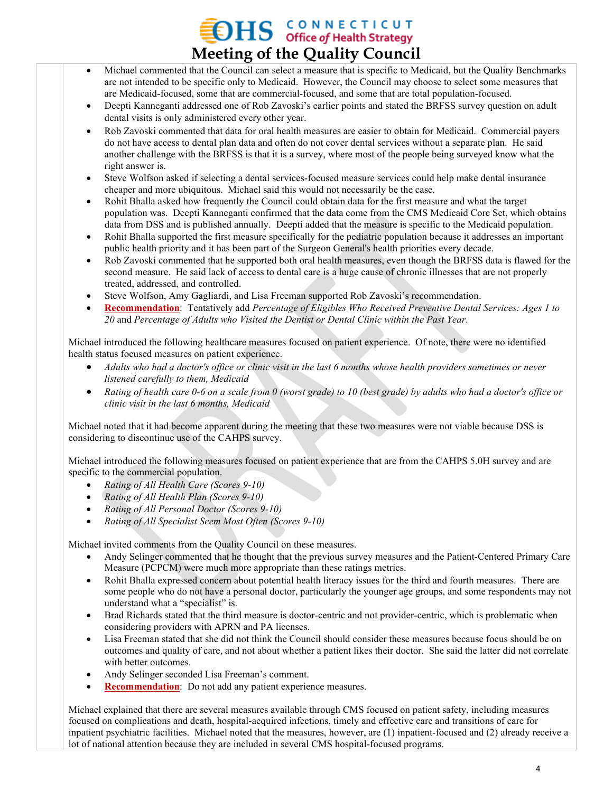# $\sum_{\text{office of Health Strategy}}$ **Meeting of the Quality Council**

- Michael commented that the Council can select a measure that is specific to Medicaid, but the Quality Benchmarks are not intended to be specific only to Medicaid. However, the Council may choose to select some measures that are Medicaid-focused, some that are commercial-focused, and some that are total population-focused.
- Deepti Kanneganti addressed one of Rob Zavoski's earlier points and stated the BRFSS survey question on adult dental visits is only administered every other year.
- Rob Zavoski commented that data for oral health measures are easier to obtain for Medicaid. Commercial payers do not have access to dental plan data and often do not cover dental services without a separate plan. He said another challenge with the BRFSS is that it is a survey, where most of the people being surveyed know what the right answer is.
- Steve Wolfson asked if selecting a dental services-focused measure services could help make dental insurance cheaper and more ubiquitous. Michael said this would not necessarily be the case.
- Rohit Bhalla asked how frequently the Council could obtain data for the first measure and what the target population was. Deepti Kanneganti confirmed that the data come from the CMS Medicaid Core Set, which obtains data from DSS and is published annually. Deepti added that the measure is specific to the Medicaid population.
- Rohit Bhalla supported the first measure specifically for the pediatric population because it addresses an important public health priority and it has been part of the Surgeon General's health priorities every decade.
- Rob Zavoski commented that he supported both oral health measures, even though the BRFSS data is flawed for the second measure. He said lack of access to dental care is a huge cause of chronic illnesses that are not properly treated, addressed, and controlled.
- Steve Wolfson, Amy Gagliardi, and Lisa Freeman supported Rob Zavoski's recommendation.
- **Recommendation**: Tentatively add *Percentage of Eligibles Who Received Preventive Dental Services: Ages 1 to 20* and *Percentage of Adults who Visited the Dentist or Dental Clinic within the Past Year*.

Michael introduced the following healthcare measures focused on patient experience. Of note, there were no identified health status focused measures on patient experience.

- *Adults who had a doctor's office or clinic visit in the last 6 months whose health providers sometimes or never listened carefully to them, Medicaid*
- *Rating of health care 0-6 on a scale from 0 (worst grade) to 10 (best grade) by adults who had a doctor's office or clinic visit in the last 6 months, Medicaid*

Michael noted that it had become apparent during the meeting that these two measures were not viable because DSS is considering to discontinue use of the CAHPS survey.

Michael introduced the following measures focused on patient experience that are from the CAHPS 5.0H survey and are specific to the commercial population.

- *Rating of All Health Care (Scores 9-10)*
- *Rating of All Health Plan (Scores 9-10)*
- *Rating of All Personal Doctor (Scores 9-10)*
- *Rating of All Specialist Seem Most Often (Scores 9-10)*

Michael invited comments from the Quality Council on these measures.

- Andy Selinger commented that he thought that the previous survey measures and the Patient-Centered Primary Care Measure (PCPCM) were much more appropriate than these ratings metrics.
- Rohit Bhalla expressed concern about potential health literacy issues for the third and fourth measures. There are some people who do not have a personal doctor, particularly the younger age groups, and some respondents may not understand what a "specialist" is.
- Brad Richards stated that the third measure is doctor-centric and not provider-centric, which is problematic when considering providers with APRN and PA licenses.
- Lisa Freeman stated that she did not think the Council should consider these measures because focus should be on outcomes and quality of care, and not about whether a patient likes their doctor. She said the latter did not correlate with better outcomes.
- Andy Selinger seconded Lisa Freeman's comment.
- **Recommendation**: Do not add any patient experience measures.

Michael explained that there are several measures available through CMS focused on patient safety, including measures focused on complications and death, hospital-acquired infections, timely and effective care and transitions of care for inpatient psychiatric facilities. Michael noted that the measures, however, are (1) inpatient-focused and (2) already receive a lot of national attention because they are included in several CMS hospital-focused programs.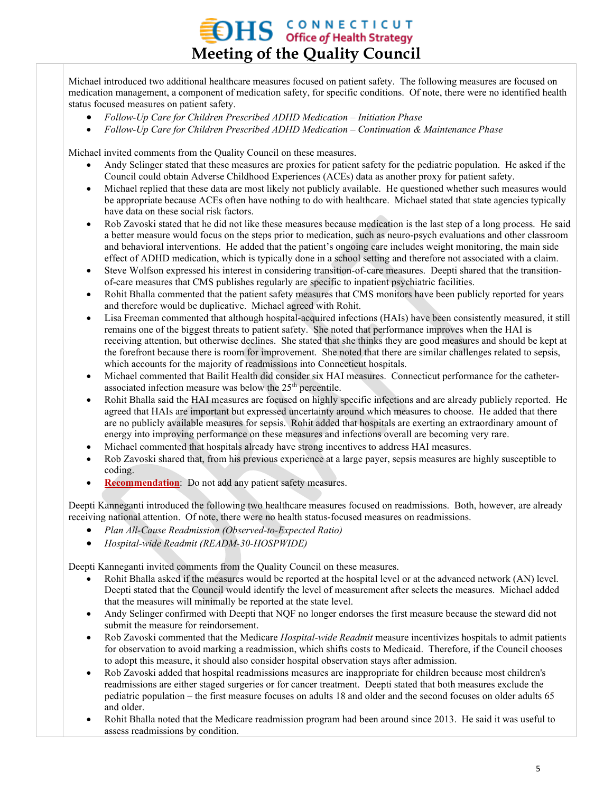# $\sum_{\text{office of Health Strategy}}$ **Meeting of the Quality Council**

Michael introduced two additional healthcare measures focused on patient safety. The following measures are focused on medication management, a component of medication safety, for specific conditions. Of note, there were no identified health status focused measures on patient safety.

- *Follow-Up Care for Children Prescribed ADHD Medication – Initiation Phase*
- *Follow-Up Care for Children Prescribed ADHD Medication – Continuation & Maintenance Phase*

Michael invited comments from the Quality Council on these measures.

- Andy Selinger stated that these measures are proxies for patient safety for the pediatric population. He asked if the Council could obtain Adverse Childhood Experiences (ACEs) data as another proxy for patient safety.
- Michael replied that these data are most likely not publicly available. He questioned whether such measures would be appropriate because ACEs often have nothing to do with healthcare. Michael stated that state agencies typically have data on these social risk factors.
- Rob Zavoski stated that he did not like these measures because medication is the last step of a long process. He said a better measure would focus on the steps prior to medication, such as neuro-psych evaluations and other classroom and behavioral interventions. He added that the patient's ongoing care includes weight monitoring, the main side effect of ADHD medication, which is typically done in a school setting and therefore not associated with a claim.
- Steve Wolfson expressed his interest in considering transition-of-care measures. Deepti shared that the transitionof-care measures that CMS publishes regularly are specific to inpatient psychiatric facilities.
- Rohit Bhalla commented that the patient safety measures that CMS monitors have been publicly reported for years and therefore would be duplicative. Michael agreed with Rohit.
- Lisa Freeman commented that although hospital-acquired infections (HAIs) have been consistently measured, it still remains one of the biggest threats to patient safety. She noted that performance improves when the HAI is receiving attention, but otherwise declines. She stated that she thinks they are good measures and should be kept at the forefront because there is room for improvement. She noted that there are similar challenges related to sepsis, which accounts for the majority of readmissions into Connecticut hospitals.
- Michael commented that Bailit Health did consider six HAI measures. Connecticut performance for the catheterassociated infection measure was below the  $25<sup>th</sup>$  percentile.
- Rohit Bhalla said the HAI measures are focused on highly specific infections and are already publicly reported. He agreed that HAIs are important but expressed uncertainty around which measures to choose. He added that there are no publicly available measures for sepsis. Rohit added that hospitals are exerting an extraordinary amount of energy into improving performance on these measures and infections overall are becoming very rare.
- Michael commented that hospitals already have strong incentives to address HAI measures.
- Rob Zavoski shared that, from his previous experience at a large payer, sepsis measures are highly susceptible to coding.
- **Recommendation**: Do not add any patient safety measures.

Deepti Kanneganti introduced the following two healthcare measures focused on readmissions. Both, however, are already receiving national attention. Of note, there were no health status-focused measures on readmissions.

- *Plan All-Cause Readmission (Observed-to-Expected Ratio)*
- *Hospital-wide Readmit (READM-30-HOSPWIDE)*

Deepti Kanneganti invited comments from the Quality Council on these measures.

- Rohit Bhalla asked if the measures would be reported at the hospital level or at the advanced network (AN) level. Deepti stated that the Council would identify the level of measurement after selects the measures. Michael added that the measures will minimally be reported at the state level.
- Andy Selinger confirmed with Deepti that NQF no longer endorses the first measure because the steward did not submit the measure for reindorsement.
- Rob Zavoski commented that the Medicare *Hospital-wide Readmit* measure incentivizes hospitals to admit patients for observation to avoid marking a readmission, which shifts costs to Medicaid. Therefore, if the Council chooses to adopt this measure, it should also consider hospital observation stays after admission.
- Rob Zavoski added that hospital readmissions measures are inappropriate for children because most children's readmissions are either staged surgeries or for cancer treatment. Deepti stated that both measures exclude the pediatric population – the first measure focuses on adults 18 and older and the second focuses on older adults 65 and older.
- Rohit Bhalla noted that the Medicare readmission program had been around since 2013. He said it was useful to assess readmissions by condition.